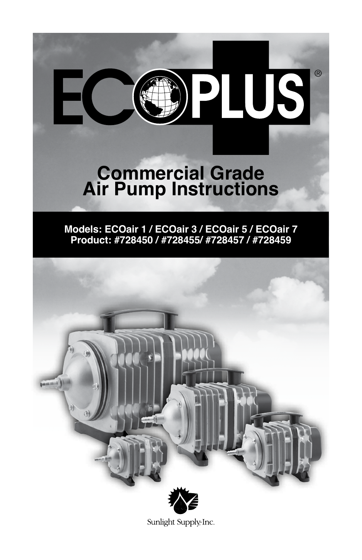

Sunlight Supply<sub>[Inc.</sub>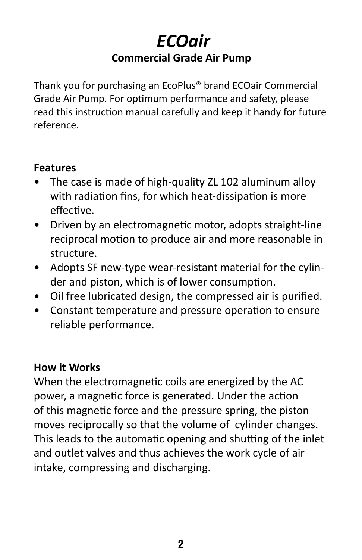# *ECOair*  **Commercial Grade Air Pump**

Thank you for purchasing an EcoPlus® brand ECOair Commercial Grade Air Pump. For optimum performance and safety, please read this instruction manual carefully and keep it handy for future reference.

#### **Features**

- The case is made of high-quality ZL 102 aluminum alloy with radiation fins, for which heat-dissipation is more effective.
- Driven by an electromagnetic motor, adopts straight-line reciprocal motion to produce air and more reasonable in structure.
- Adopts SF new-type wear-resistant material for the cylinder and piston, which is of lower consumption.
- Oil free lubricated design, the compressed air is purified.
- Constant temperature and pressure operation to ensure reliable performance.

#### **How it Works**

When the electromagnetic coils are energized by the AC power, a magnetic force is generated. Under the action of this magnetic force and the pressure spring, the piston moves reciprocally so that the volume of cylinder changes. This leads to the automatic opening and shutting of the inlet and outlet valves and thus achieves the work cycle of air intake, compressing and discharging.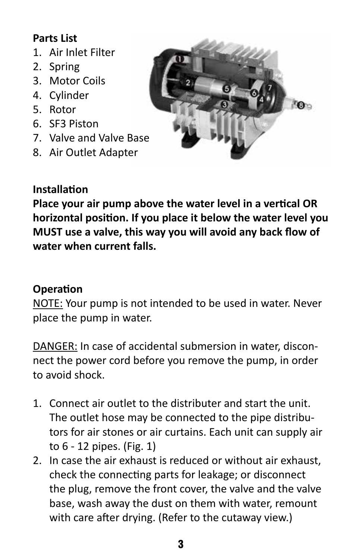### **Parts List**

- 1. Air Inlet Filter
- 2. Spring
- 3. Motor Coils
- 4. Cylinder
- 5. Rotor
- 6. SF3 Piston
- 7. Valve and Valve Base
- 8. Air Outlet Adapter



#### **Installation**

**Place your air pump above the water level in a vertical OR horizontal position. If you place it below the water level you MUST use a valve, this way you will avoid any back flow of water when current falls.**

#### **Operation**

NOTE: Your pump is not intended to be used in water. Never place the pump in water.

DANGER: In case of accidental submersion in water, disconnect the power cord before you remove the pump, in order to avoid shock.

- 1. Connect air outlet to the distributer and start the unit. The outlet hose may be connected to the pipe distributors for air stones or air curtains. Each unit can supply air to 6 - 12 pipes. (Fig. 1)
- 2. In case the air exhaust is reduced or without air exhaust, check the connecting parts for leakage; or disconnect the plug, remove the front cover, the valve and the valve base, wash away the dust on them with water, remount with care after drying. (Refer to the cutaway view.)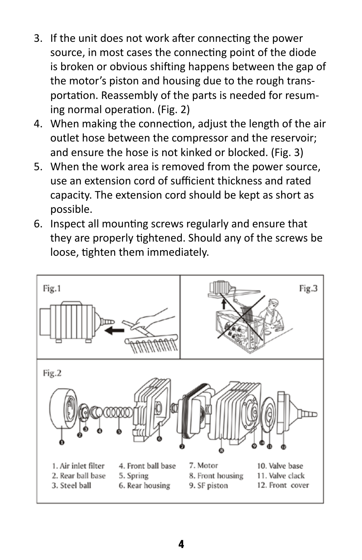- 3. If the unit does not work after connecting the power source, in most cases the connecting point of the diode is broken or obvious shifting happens between the gap of the motor's piston and housing due to the rough transportation. Reassembly of the parts is needed for resuming normal operation. (Fig. 2)
- 4. When making the connection, adjust the length of the air outlet hose between the compressor and the reservoir; and ensure the hose is not kinked or blocked. (Fig. 3)
- 5. When the work area is removed from the power source, use an extension cord of sufficient thickness and rated capacity. The extension cord should be kept as short as possible.
- 6. Inspect all mounting screws regularly and ensure that they are properly tightened. Should any of the screws be loose, tighten them immediately.

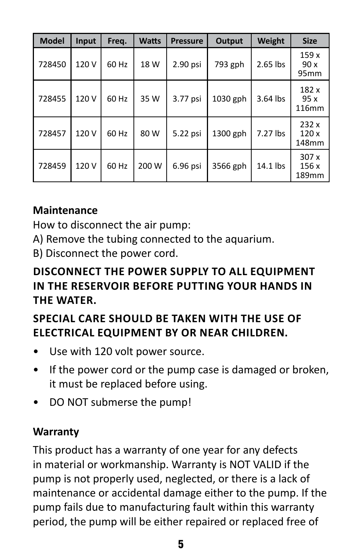| <b>Model</b> | Input | Freq. | <b>Watts</b> | <b>Pressure</b> | Output   | Weight     | <b>Size</b>                     |
|--------------|-------|-------|--------------|-----------------|----------|------------|---------------------------------|
| 728450       | 120 V | 60 Hz | 18 W         | 2.90 psi        | 793 gph  | $2.65$ lbs | 159x<br>90x<br>95 <sub>mm</sub> |
| 728455       | 120 V | 60 Hz | 35 W         | 3.77 psi        | 1030 gph | 3.64 lbs   | 182 x<br>95x<br>116mm           |
| 728457       | 120 V | 60 Hz | 80 W         | 5.22 psi        | 1300 gph | 7.27 lbs   | 232x<br>120x<br>148mm           |
| 728459       | 120 V | 60 Hz | 200 W        | 6.96 psi        | 3566 gph | 14.1 lbs   | 307x<br>156x<br>189mm           |

#### **Maintenance**

How to disconnect the air pump:

- A) Remove the tubing connected to the aquarium.
- B) Disconnect the power cord.

#### **DISCONNECT THE POWER SUPPLY TO ALL EQUIPMENT IN THE RESERVOIR BEFORE PUTTING YOUR HANDS IN THE WATER.**

## **SPECIAL CARE SHOULD BE TAKEN WITH THE USE OF ELECTRICAL EQUIPMENT BY OR NEAR CHILDREN.**

- Use with 120 volt power source.
- If the power cord or the pump case is damaged or broken, it must be replaced before using.
- DO NOT submerse the pump!

#### **Warranty**

This product has a warranty of one year for any defects in material or workmanship. Warranty is NOT VALID if the pump is not properly used, neglected, or there is a lack of maintenance or accidental damage either to the pump. If the pump fails due to manufacturing fault within this warranty period, the pump will be either repaired or replaced free of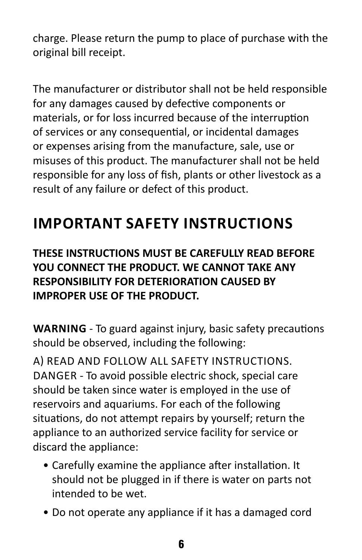charge. Please return the pump to place of purchase with the original bill receipt.

The manufacturer or distributor shall not be held responsible for any damages caused by defective components or materials, or for loss incurred because of the interruption of services or any consequential, or incidental damages or expenses arising from the manufacture, sale, use or misuses of this product. The manufacturer shall not be held responsible for any loss of fish, plants or other livestock as a result of any failure or defect of this product.

# **IMPORTANT SAFETY INSTRUCTIONS**

**THESE INSTRUCTIONS MUST BE CAREFULLY READ BEFORE YOU CONNECT THE PRODUCT. WE CANNOT TAKE ANY RESPONSIBILITY FOR DETERIORATION CAUSED BY IMPROPER USE OF THE PRODUCT.**

**WARNING** - To guard against injury, basic safety precautions should be observed, including the following:

A) READ AND FOLLOW ALL SAFETY INSTRUCTIONS. DANGER - To avoid possible electric shock, special care should be taken since water is employed in the use of reservoirs and aquariums. For each of the following situations, do not attempt repairs by yourself; return the appliance to an authorized service facility for service or discard the appliance:

- Carefully examine the appliance after installation. It should not be plugged in if there is water on parts not intended to be wet.
- Do not operate any appliance if it has a damaged cord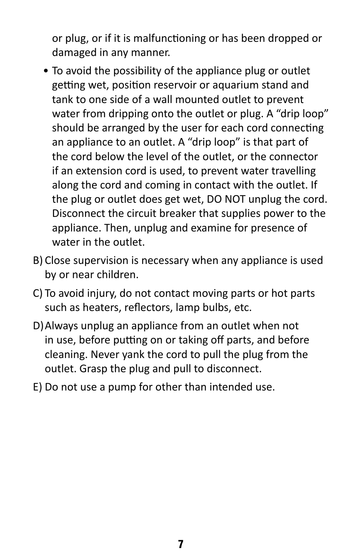or plug, or if it is malfunctioning or has been dropped or damaged in any manner.

- To avoid the possibility of the appliance plug or outlet getting wet, position reservoir or aquarium stand and tank to one side of a wall mounted outlet to prevent water from dripping onto the outlet or plug. A "drip loop" should be arranged by the user for each cord connecting an appliance to an outlet. A "drip loop" is that part of the cord below the level of the outlet, or the connector if an extension cord is used, to prevent water travelling along the cord and coming in contact with the outlet. If the plug or outlet does get wet, DO NOT unplug the cord. Disconnect the circuit breaker that supplies power to the appliance. Then, unplug and examine for presence of water in the outlet.
- B) Close supervision is necessary when any appliance is used by or near children.
- C) To avoid injury, do not contact moving parts or hot parts such as heaters, reflectors, lamp bulbs, etc.
- D)Always unplug an appliance from an outlet when not in use, before putting on or taking off parts, and before cleaning. Never yank the cord to pull the plug from the outlet. Grasp the plug and pull to disconnect.
- E) Do not use a pump for other than intended use.